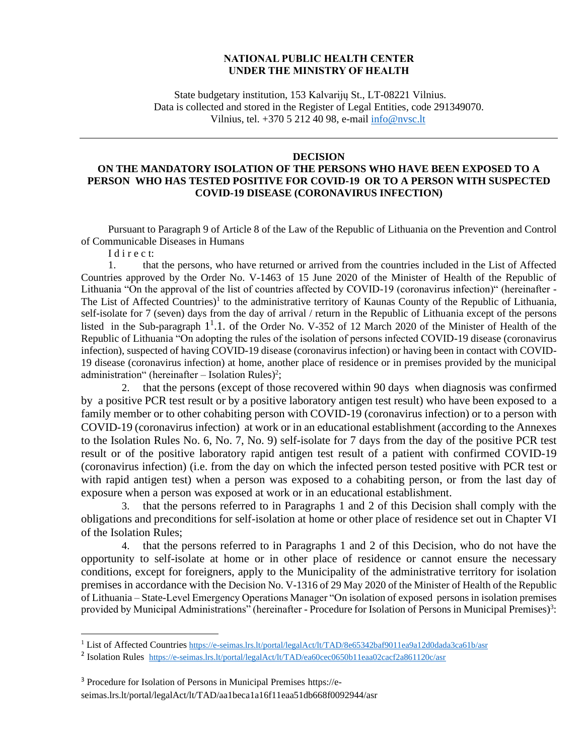## **NATIONAL PUBLIC HEALTH CENTER UNDER THE MINISTRY OF HEALTH**

State budgetary institution, 153 Kalvarijų St., LT-08221 Vilnius. Data is collected and stored in the Register of Legal Entities, code 291349070. Vilnius, tel. +370 5 212 40 98, e-mail [info@nvsc.lt](mailto:info@nvsc.lt)

## **DECISION**

## **ON THE MANDATORY ISOLATION OF THE PERSONS WHO HAVE BEEN EXPOSED TO A PERSON WHO HAS TESTED POSITIVE FOR COVID-19 OR TO A PERSON WITH SUSPECTED COVID-19 DISEASE (CORONAVIRUS INFECTION)**

Pursuant to Paragraph 9 of Article 8 of the Law of the Republic of Lithuania on the Prevention and Control of Communicable Diseases in Humans

I d i r e c t:

1. that the persons, who have returned or arrived from the countries included in the List of Affected Countries approved by the Order No. V-1463 of 15 June 2020 of the Minister of Health of the Republic of Lithuania "On the approval of the list of countries affected by COVID-19 (coronavirus infection)" (hereinafter - The List of Affected Countries)<sup>1</sup> to the administrative territory of Kaunas County of the Republic of Lithuania, self-isolate for 7 (seven) days from the day of arrival / return in the Republic of Lithuania except of the persons listed in the Sub-paragraph 1<sup>1</sup>.1. of the Order No. V-352 of 12 March 2020 of the Minister of Health of the Republic of Lithuania "On adopting the rules of the isolation of persons infected COVID-19 disease (coronavirus infection), suspected of having COVID-19 disease (coronavirus infection) or having been in contact with COVID-19 disease (coronavirus infection) at home, another place of residence or in premises provided by the municipal administration" (hereinafter  $-$  Isolation Rules)<sup>2</sup>;

2. that the persons (except of those recovered within 90 days when diagnosis was confirmed by a positive PCR test result or by a positive laboratory antigen test result) who have been exposed to a family member or to other cohabiting person with COVID-19 (coronavirus infection) or to a person with COVID-19 (coronavirus infection) at work or in an educational establishment (according to the Annexes to the Isolation Rules No. 6, No. 7, No. 9) self-isolate for 7 days from the day of the positive PCR test result or of the positive laboratory rapid antigen test result of a patient with confirmed COVID-19 (coronavirus infection) (i.e. from the day on which the infected person tested positive with PCR test or with rapid antigen test) when a person was exposed to a cohabiting person, or from the last day of exposure when a person was exposed at work or in an educational establishment.

3. that the persons referred to in Paragraphs 1 and 2 of this Decision shall comply with the obligations and preconditions for self-isolation at home or other place of residence set out in Chapter VI of the Isolation Rules;

4. that the persons referred to in Paragraphs 1 and 2 of this Decision, who do not have the opportunity to self-isolate at home or in other place of residence or cannot ensure the necessary conditions, except for foreigners, apply to the Municipality of the administrative territory for isolation premises in accordance with the Decision No. V-1316 of 29 May 2020 of the Minister of Health of the Republic of Lithuania – State-Level Emergency Operations Manager "On isolation of exposed persons in isolation premises provided by Municipal Administrations" (hereinafter - Procedure for Isolation of Persons in Municipal Premises)<sup>3</sup>:

<sup>&</sup>lt;sup>1</sup> List of Affected Countries <https://e-seimas.lrs.lt/portal/legalAct/lt/TAD/8e65342baf9011ea9a12d0dada3ca61b/asr>

<sup>&</sup>lt;sup>2</sup> Isolation Rules <https://e-seimas.lrs.lt/portal/legalAct/lt/TAD/ea60cec0650b11eaa02cacf2a861120c/asr>

<sup>3</sup> Procedure for Isolation of Persons in Municipal Premises https://eseimas.lrs.lt/portal/legalAct/lt/TAD/aa1beca1a16f11eaa51db668f0092944/asr